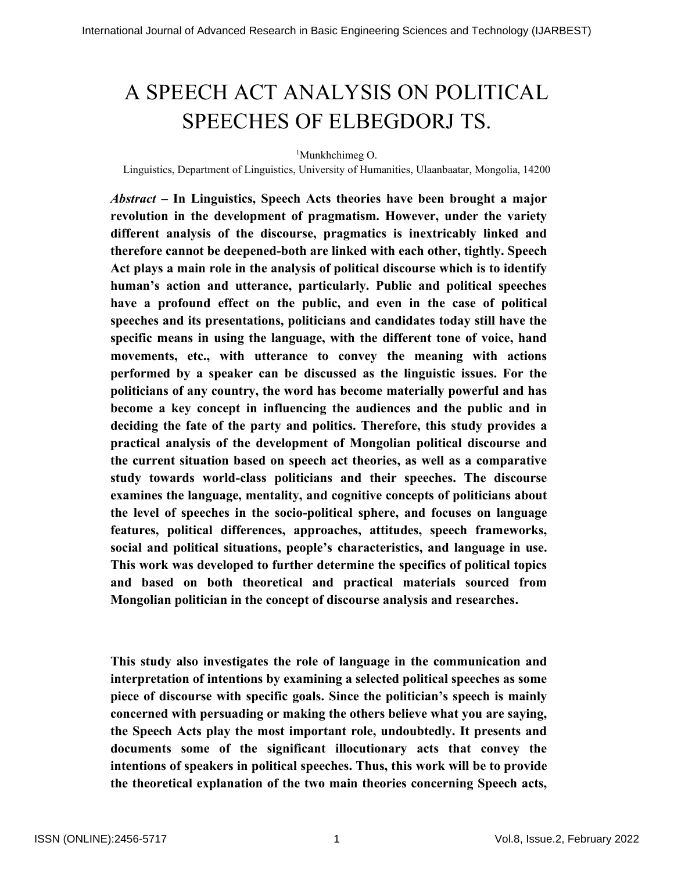# A SPEECH ACT ANALYSIS ON POLITICAL SPEECHES OF ELBEGDORJ TS.

<sup>1</sup>Munkhchimeg O.

Linguistics, Department of Linguistics, University of Humanities, Ulaanbaatar, Mongolia, 14200

*Abstract –* **In Linguistics, Speech Acts theories have been brought a major revolution in the development of pragmatism. However, under the variety different analysis of the discourse, pragmatics is inextricably linked and therefore cannot be deepened-both are linked with each other, tightly. Speech Act plays a main role in the analysis of political discourse which is to identify human's action and utterance, particularly. Public and political speeches have a profound effect on the public, and even in the case of political speeches and its presentations, politicians and candidates today still have the specific means in using the language, with the different tone of voice, hand movements, etc., with utterance to convey the meaning with actions performed by a speaker can be discussed as the linguistic issues. For the politicians of any country, the word has become materially powerful and has become a key concept in influencing the audiences and the public and in deciding the fate of the party and politics. Therefore, this study provides a practical analysis of the development of Mongolian political discourse and the current situation based on speech act theories, as well as a comparative study towards world-class politicians and their speeches. The discourse examines the language, mentality, and cognitive concepts of politicians about the level of speeches in the socio-political sphere, and focuses on language features, political differences, approaches, attitudes, speech frameworks, social and political situations, people's characteristics, and language in use. This work was developed to further determine the specifics of political topics and based on both theoretical and practical materials sourced from Mongolian politician in the concept of discourse analysis and researches.** 

**This study also investigates the role of language in the communication and interpretation of intentions by examining a selected political speeches as some piece of discourse with specific goals. Since the politician's speech is mainly concerned with persuading or making the others believe what you are saying, the Speech Acts play the most important role, undoubtedly. It presents and documents some of the significant illocutionary acts that convey the intentions of speakers in political speeches. Thus, this work will be to provide the theoretical explanation of the two main theories concerning Speech acts,**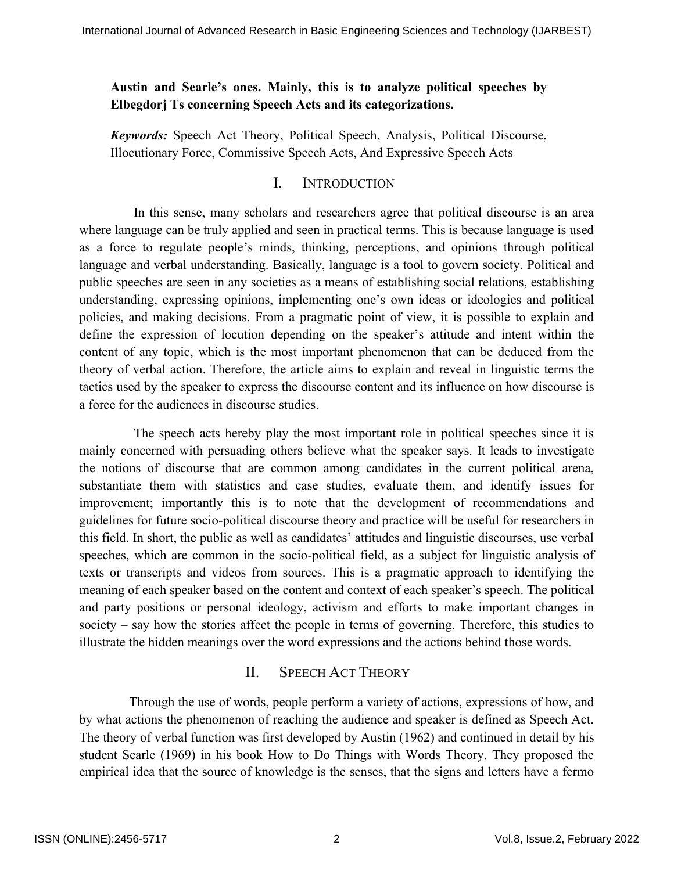## **Austin and Searle's ones. Mainly, this is to analyze political speeches by Elbegdorj Ts concerning Speech Acts and its categorizations.**

*Keywords:* Speech Act Theory, Political Speech, Analysis, Political Discourse, Illocutionary Force, Commissive Speech Acts, And Expressive Speech Acts

## I. INTRODUCTION

In this sense, many scholars and researchers agree that political discourse is an area where language can be truly applied and seen in practical terms. This is because language is used as a force to regulate people's minds, thinking, perceptions, and opinions through political language and verbal understanding. Basically, language is a tool to govern society. Political and public speeches are seen in any societies as a means of establishing social relations, establishing understanding, expressing opinions, implementing one's own ideas or ideologies and political policies, and making decisions. From a pragmatic point of view, it is possible to explain and define the expression of locution depending on the speaker's attitude and intent within the content of any topic, which is the most important phenomenon that can be deduced from the theory of verbal action. Therefore, the article aims to explain and reveal in linguistic terms the tactics used by the speaker to express the discourse content and its influence on how discourse is a force for the audiences in discourse studies.

The speech acts hereby play the most important role in political speeches since it is mainly concerned with persuading others believe what the speaker says. It leads to investigate the notions of discourse that are common among candidates in the current political arena, substantiate them with statistics and case studies, evaluate them, and identify issues for improvement; importantly this is to note that the development of recommendations and guidelines for future socio-political discourse theory and practice will be useful for researchers in this field. In short, the public as well as candidates' attitudes and linguistic discourses, use verbal speeches, which are common in the socio-political field, as a subject for linguistic analysis of texts or transcripts and videos from sources. This is a pragmatic approach to identifying the meaning of each speaker based on the content and context of each speaker's speech. The political and party positions or personal ideology, activism and efforts to make important changes in society – say how the stories affect the people in terms of governing. Therefore, this studies to illustrate the hidden meanings over the word expressions and the actions behind those words.

## II. SPEECH ACT THEORY

 Through the use of words, people perform a variety of actions, expressions of how, and by what actions the phenomenon of reaching the audience and speaker is defined as Speech Act. The theory of verbal function was first developed by Austin (1962) and continued in detail by his student Searle (1969) in his book How to Do Things with Words Theory. They proposed the empirical idea that the source of knowledge is the senses, that the signs and letters have a fermo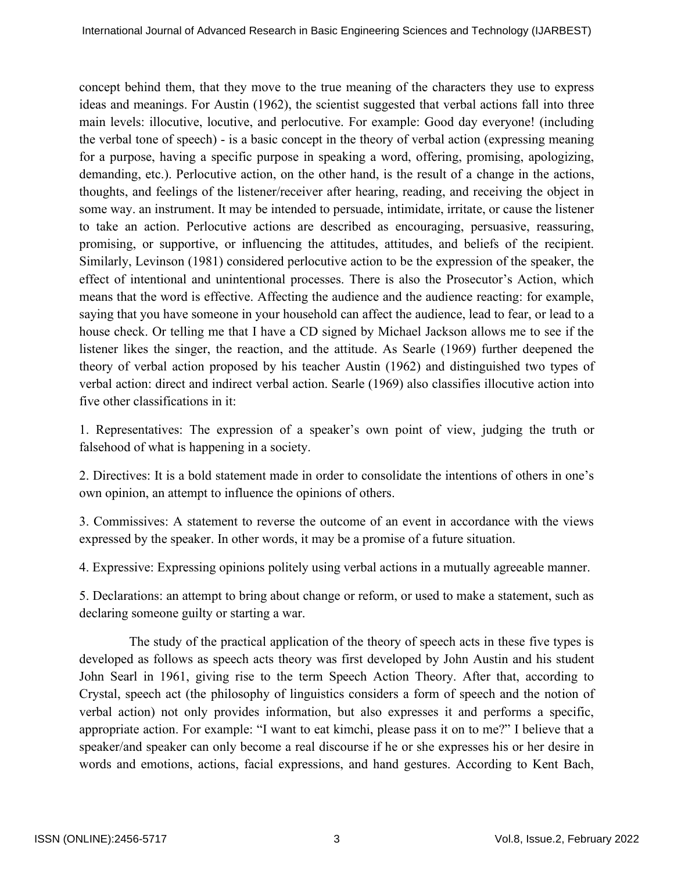concept behind them, that they move to the true meaning of the characters they use to express ideas and meanings. For Austin (1962), the scientist suggested that verbal actions fall into three main levels: illocutive, locutive, and perlocutive. For example: Good day everyone! (including the verbal tone of speech) - is a basic concept in the theory of verbal action (expressing meaning for a purpose, having a specific purpose in speaking a word, offering, promising, apologizing, demanding, etc.). Perlocutive action, on the other hand, is the result of a change in the actions, thoughts, and feelings of the listener/receiver after hearing, reading, and receiving the object in some way. an instrument. It may be intended to persuade, intimidate, irritate, or cause the listener to take an action. Perlocutive actions are described as encouraging, persuasive, reassuring, promising, or supportive, or influencing the attitudes, attitudes, and beliefs of the recipient. Similarly, Levinson (1981) considered perlocutive action to be the expression of the speaker, the effect of intentional and unintentional processes. There is also the Prosecutor's Action, which means that the word is effective. Affecting the audience and the audience reacting: for example, saying that you have someone in your household can affect the audience, lead to fear, or lead to a house check. Or telling me that I have a CD signed by Michael Jackson allows me to see if the listener likes the singer, the reaction, and the attitude. As Searle (1969) further deepened the theory of verbal action proposed by his teacher Austin (1962) and distinguished two types of verbal action: direct and indirect verbal action. Searle (1969) also classifies illocutive action into five other classifications in it:

1. Representatives: The expression of a speaker's own point of view, judging the truth or falsehood of what is happening in a society.

2. Directives: It is a bold statement made in order to consolidate the intentions of others in one's own opinion, an attempt to influence the opinions of others.

3. Commissives: A statement to reverse the outcome of an event in accordance with the views expressed by the speaker. In other words, it may be a promise of a future situation.

4. Expressive: Expressing opinions politely using verbal actions in a mutually agreeable manner.

5. Declarations: an attempt to bring about change or reform, or used to make a statement, such as declaring someone guilty or starting a war.

 The study of the practical application of the theory of speech acts in these five types is developed as follows as speech acts theory was first developed by John Austin and his student John Searl in 1961, giving rise to the term Speech Action Theory. After that, according to Crystal, speech act (the philosophy of linguistics considers a form of speech and the notion of verbal action) not only provides information, but also expresses it and performs a specific, appropriate action. For example: "I want to eat kimchi, please pass it on to me?" I believe that a speaker/and speaker can only become a real discourse if he or she expresses his or her desire in words and emotions, actions, facial expressions, and hand gestures. According to Kent Bach,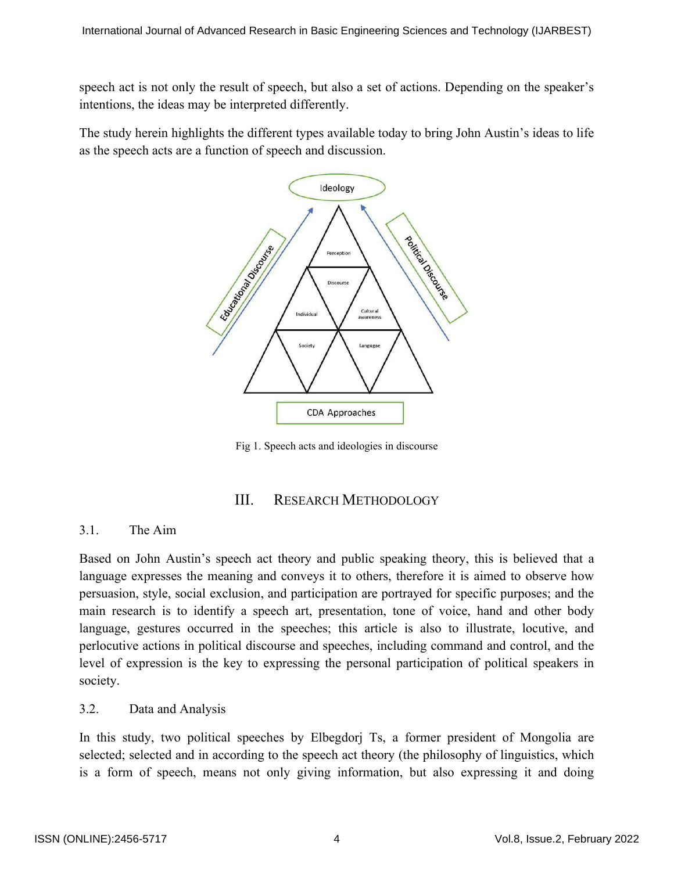speech act is not only the result of speech, but also a set of actions. Depending on the speaker's intentions, the ideas may be interpreted differently.

The study herein highlights the different types available today to bring John Austin's ideas to life as the speech acts are a function of speech and discussion.



Fig 1. Speech acts and ideologies in discourse

### III. RESEARCH METHODOLOGY

### 3.1. The Aim

Based on John Austin's speech act theory and public speaking theory, this is believed that a language expresses the meaning and conveys it to others, therefore it is aimed to observe how persuasion, style, social exclusion, and participation are portrayed for specific purposes; and the main research is to identify a speech art, presentation, tone of voice, hand and other body language, gestures occurred in the speeches; this article is also to illustrate, locutive, and perlocutive actions in political discourse and speeches, including command and control, and the level of expression is the key to expressing the personal participation of political speakers in society.

#### 3.2. Data and Analysis

In this study, two political speeches by Elbegdorj Ts, a former president of Mongolia are selected; selected and in according to the speech act theory (the philosophy of linguistics, which is a form of speech, means not only giving information, but also expressing it and doing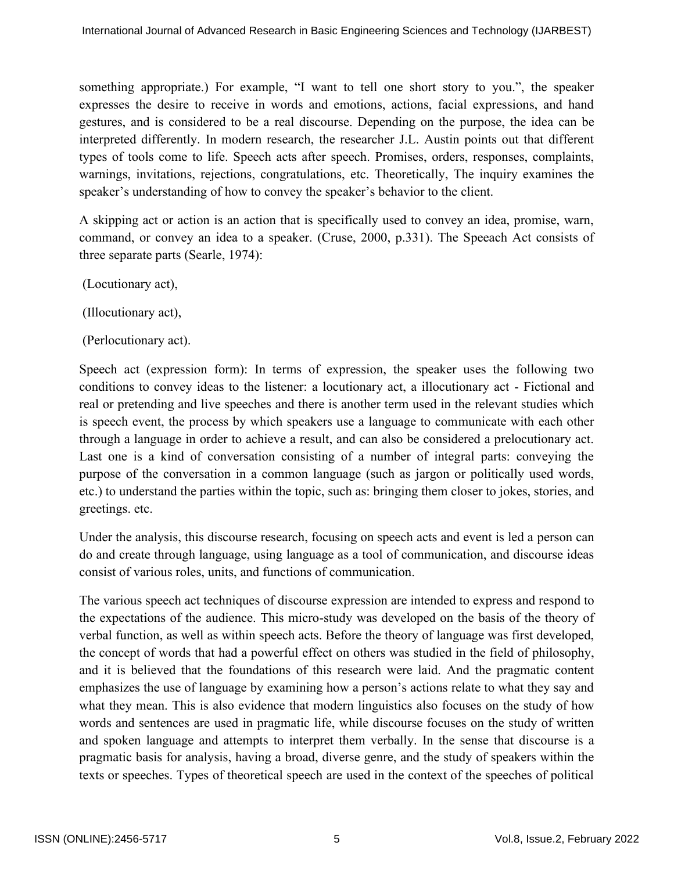something appropriate.) For example, "I want to tell one short story to you.", the speaker expresses the desire to receive in words and emotions, actions, facial expressions, and hand gestures, and is considered to be a real discourse. Depending on the purpose, the idea can be interpreted differently. In modern research, the researcher J.L. Austin points out that different types of tools come to life. Speech acts after speech. Promises, orders, responses, complaints, warnings, invitations, rejections, congratulations, etc. Theoretically, The inquiry examines the speaker's understanding of how to convey the speaker's behavior to the client.

A skipping act or action is an action that is specifically used to convey an idea, promise, warn, command, or convey an idea to a speaker. (Cruse, 2000, p.331). The Speeach Act consists of three separate parts (Searle, 1974):

(Locutionary act),

(Illocutionary act),

(Perlocutionary act).

Speech act (expression form): In terms of expression, the speaker uses the following two conditions to convey ideas to the listener: a locutionary act, a illocutionary act - Fictional and real or pretending and live speeches and there is another term used in the relevant studies which is speech event, the process by which speakers use a language to communicate with each other through a language in order to achieve a result, and can also be considered a prelocutionary act. Last one is a kind of conversation consisting of a number of integral parts: conveying the purpose of the conversation in a common language (such as jargon or politically used words, etc.) to understand the parties within the topic, such as: bringing them closer to jokes, stories, and greetings. etc.

Under the analysis, this discourse research, focusing on speech acts and event is led a person can do and create through language, using language as a tool of communication, and discourse ideas consist of various roles, units, and functions of communication.

The various speech act techniques of discourse expression are intended to express and respond to the expectations of the audience. This micro-study was developed on the basis of the theory of verbal function, as well as within speech acts. Before the theory of language was first developed, the concept of words that had a powerful effect on others was studied in the field of philosophy, and it is believed that the foundations of this research were laid. And the pragmatic content emphasizes the use of language by examining how a person's actions relate to what they say and what they mean. This is also evidence that modern linguistics also focuses on the study of how words and sentences are used in pragmatic life, while discourse focuses on the study of written and spoken language and attempts to interpret them verbally. In the sense that discourse is a pragmatic basis for analysis, having a broad, diverse genre, and the study of speakers within the texts or speeches. Types of theoretical speech are used in the context of the speeches of political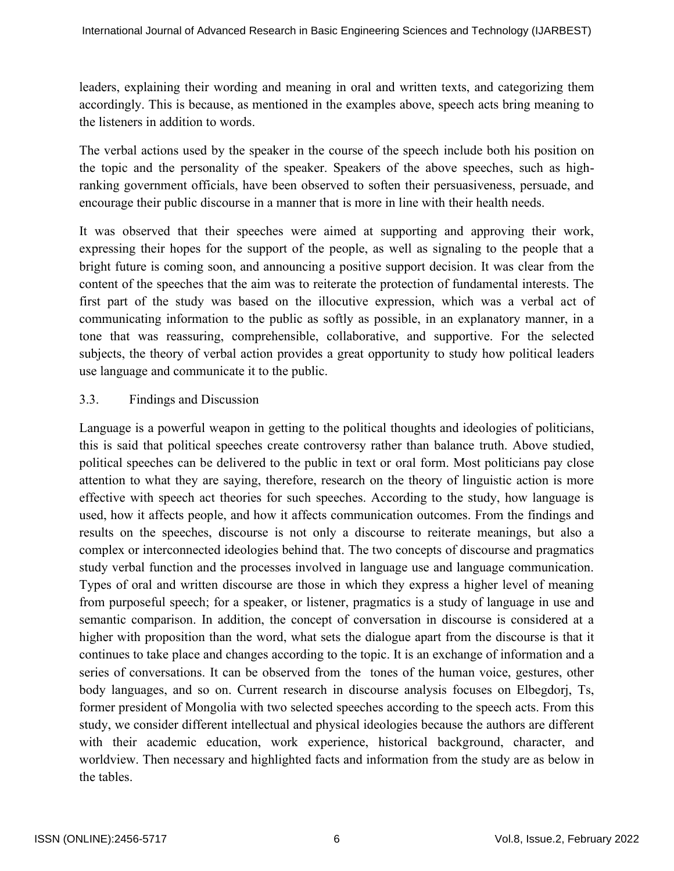leaders, explaining their wording and meaning in oral and written texts, and categorizing them accordingly. This is because, as mentioned in the examples above, speech acts bring meaning to the listeners in addition to words.

The verbal actions used by the speaker in the course of the speech include both his position on the topic and the personality of the speaker. Speakers of the above speeches, such as highranking government officials, have been observed to soften their persuasiveness, persuade, and encourage their public discourse in a manner that is more in line with their health needs.

It was observed that their speeches were aimed at supporting and approving their work, expressing their hopes for the support of the people, as well as signaling to the people that a bright future is coming soon, and announcing a positive support decision. It was clear from the content of the speeches that the aim was to reiterate the protection of fundamental interests. The first part of the study was based on the illocutive expression, which was a verbal act of communicating information to the public as softly as possible, in an explanatory manner, in a tone that was reassuring, comprehensible, collaborative, and supportive. For the selected subjects, the theory of verbal action provides a great opportunity to study how political leaders use language and communicate it to the public.

### 3.3. Findings and Discussion

Language is a powerful weapon in getting to the political thoughts and ideologies of politicians, this is said that political speeches create controversy rather than balance truth. Above studied, political speeches can be delivered to the public in text or oral form. Most politicians pay close attention to what they are saying, therefore, research on the theory of linguistic action is more effective with speech act theories for such speeches. According to the study, how language is used, how it affects people, and how it affects communication outcomes. From the findings and results on the speeches, discourse is not only a discourse to reiterate meanings, but also a complex or interconnected ideologies behind that. The two concepts of discourse and pragmatics study verbal function and the processes involved in language use and language communication. Types of oral and written discourse are those in which they express a higher level of meaning from purposeful speech; for a speaker, or listener, pragmatics is a study of language in use and semantic comparison. In addition, the concept of conversation in discourse is considered at a higher with proposition than the word, what sets the dialogue apart from the discourse is that it continues to take place and changes according to the topic. It is an exchange of information and a series of conversations. It can be observed from the tones of the human voice, gestures, other body languages, and so on. Current research in discourse analysis focuses on Elbegdorj, Ts, former president of Mongolia with two selected speeches according to the speech acts. From this study, we consider different intellectual and physical ideologies because the authors are different with their academic education, work experience, historical background, character, and worldview. Then necessary and highlighted facts and information from the study are as below in the tables.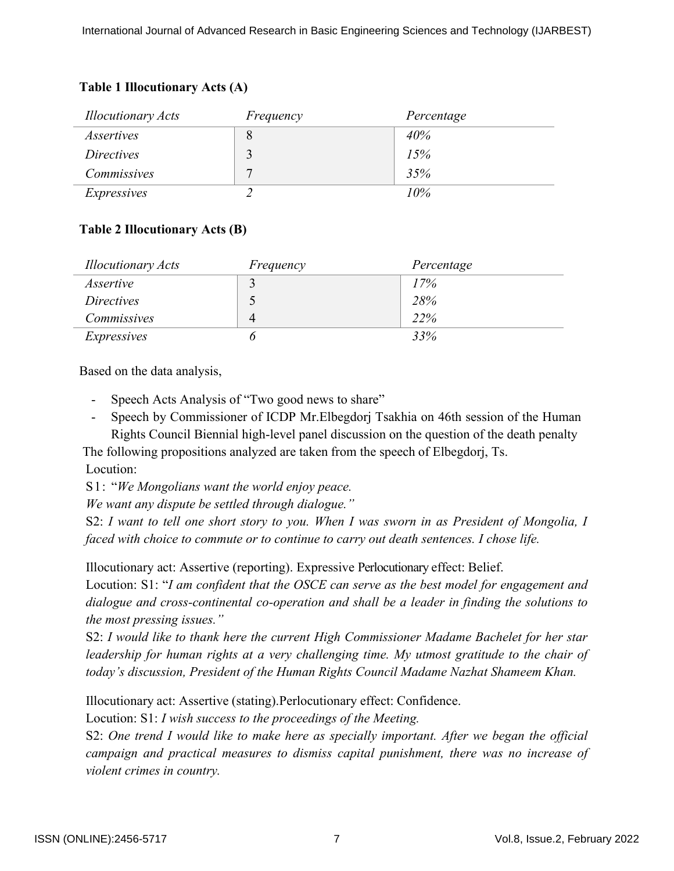## **Table 1 Illocutionary Acts (A)**

| <b>Illocutionary Acts</b> | Frequency | Percentage |
|---------------------------|-----------|------------|
| <i>Assertives</i>         | 8         | 40%        |
| <i>Directives</i>         | 2         | 15%        |
| Commissives               | ┍         | 35%        |
| Expressives               |           | 10%        |

## **Table 2 Illocutionary Acts (B)**

| <b>Illocutionary Acts</b> | Frequency | Percentage |
|---------------------------|-----------|------------|
| Assertive                 |           | 17%        |
| <i>Directives</i>         |           | 28%        |
| <i>Commissives</i>        | 4         | <b>22%</b> |
| Expressives               |           | 33%        |

Based on the data analysis,

- Speech Acts Analysis of "Two good news to share"
- Speech by Commissioner of ICDP Mr.Elbegdorj Tsakhia on 46th session of the Human Rights Council Biennial high-level panel discussion on the question of the death penalty

 The following propositions analyzed are taken from the speech of Elbegdorj, Ts. Locution:

S1: "*We Mongolians want the world enjoy peace.* 

*We want any dispute be settled through dialogue."*

S2: I want to tell one short story to you. When I was sworn in as President of Mongolia, I *faced with choice to commute or to continue to carry out death sentences. I chose life.* 

Illocutionary act: Assertive (reporting). Expressive Perlocutionary effect: Belief.

Locution: S1: "*I am confident that the OSCE can serve as the best model for engagement and dialogue and cross-continental co-operation and shall be a leader in finding the solutions to the most pressing issues."*

S2: *I would like to thank here the current High Commissioner Madame Bachelet for her star leadership for human rights at a very challenging time. My utmost gratitude to the chair of today's discussion, President of the Human Rights Council Madame Nazhat Shameem Khan.* 

Illocutionary act: Assertive (stating). Perlocutionary effect: Confidence.

Locution: S1: *I wish success to the proceedings of the Meeting.* 

S2: *One trend I would like to make here as specially important. After we began the official campaign and practical measures to dismiss capital punishment, there was no increase of violent crimes in country.*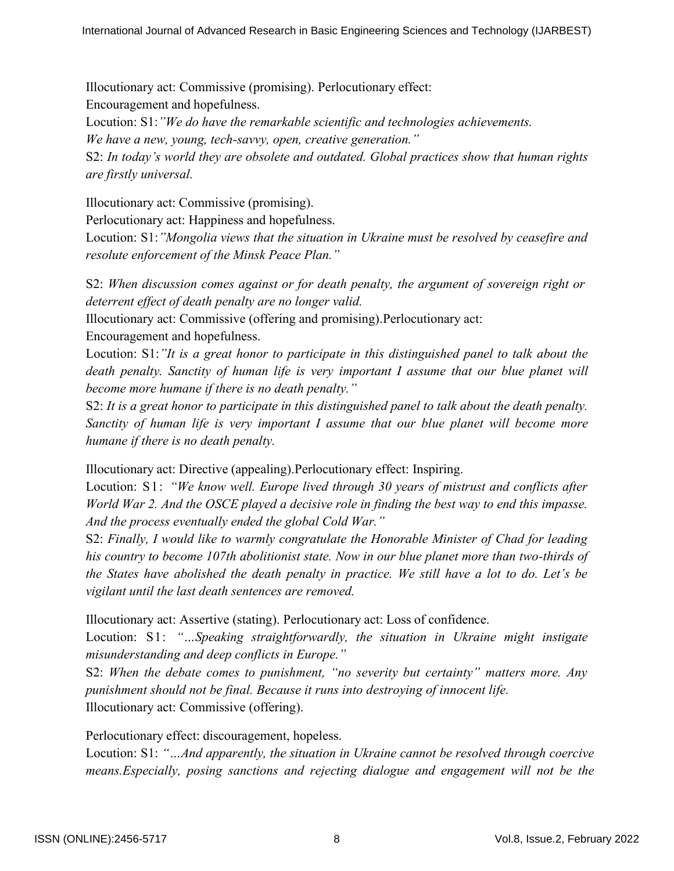Illocutionary act: Commissive (promising). Perlocutionary effect: Encouragement and hopefulness.

Locution: S1:*"We do have the remarkable scientific and technologies achievements.* 

*We have a new, young, tech-savvy, open, creative generation."*

S2: *In today's world they are obsolete and outdated. Global practices show that human rights are firstly universal.* 

Illocutionary act: Commissive (promising).

Perlocutionary act: Happiness and hopefulness.

Locution: S1:*"Mongolia views that the situation in Ukraine must be resolved by ceasefire and resolute enforcement of the Minsk Peace Plan."*

S2: *When discussion comes against or for death penalty, the argument of sovereign right or deterrent effect of death penalty are no longer valid.*

Illocutionary act: Commissive (offering and promising). Perlocutionary act:

Encouragement and hopefulness.

Locution: S1:*"It is a great honor to participate in this distinguished panel to talk about the death penalty. Sanctity of human life is very important I assume that our blue planet will become more humane if there is no death penalty."*

S2: *It is a great honor to participate in this distinguished panel to talk about the death penalty. Sanctity of human life is very important I assume that our blue planet will become more humane if there is no death penalty.* 

Illocutionary act: Directive (appealing). Perlocutionary effect: Inspiring.

Locution: S1: *"We know well. Europe lived through 30 years of mistrust and conflicts after World War 2. And the OSCE played a decisive role in finding the best way to end this impasse. And the process eventually ended the global Cold War."*

S2: *Finally, I would like to warmly congratulate the Honorable Minister of Chad for leading his country to become 107th abolitionist state. Now in our blue planet more than two-thirds of the States have abolished the death penalty in practice. We still have a lot to do. Let's be vigilant until the last death sentences are removed.* 

Illocutionary act: Assertive (stating). Perlocutionary act: Loss of confidence.

Locution: S1: "...Speaking straightforwardly, the situation in Ukraine might instigate *misunderstanding and deep conflicts in Europe."* 

S2: *When the debate comes to punishment, "no severity but certainty" matters more. Any punishment should not be final. Because it runs into destroying of innocent life.*  Illocutionary act: Commissive (offering).

Perlocutionary effect: discouragement, hopeless.

Locution: S1: *"…And apparently, the situation in Ukraine cannot be resolved through coercive means.Especially, posing sanctions and rejecting dialogue and engagement will not be the*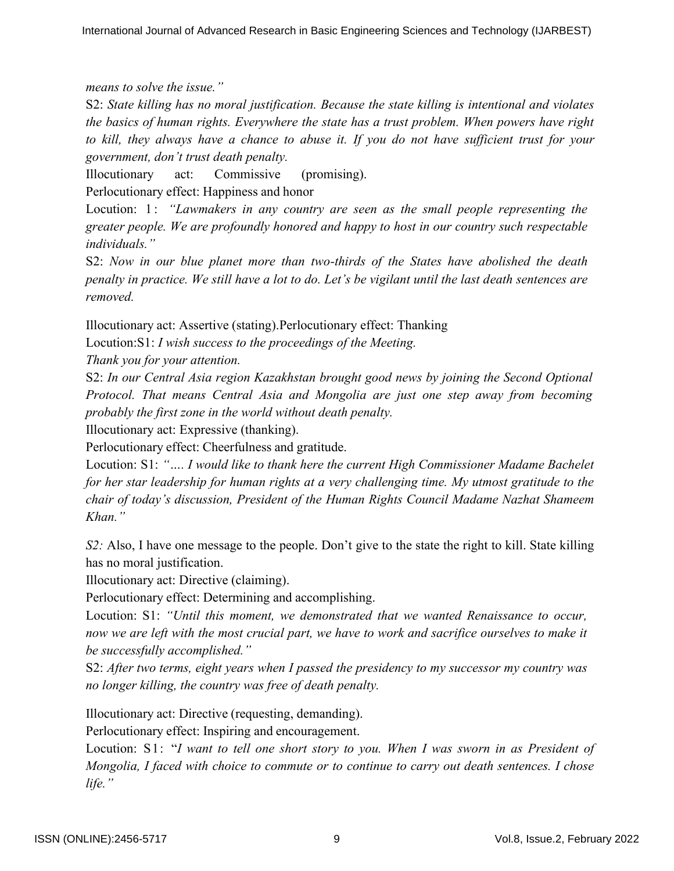*means to solve the issue."*

S2: *State killing has no moral justification. Because the state killing is intentional and violates the basics of human rights. Everywhere the state has a trust problem. When powers have right to kill, they always have a chance to abuse it. If you do not have sufficient trust for your government, don't trust death penalty.*

Illocutionary act: Commissive (promising).

Perlocutionary effect: Happiness and honor

Locution: 1: *"Lawmakers in any country are seen as the small people representing the greater people. We are profoundly honored and happy to host in our country such respectable individuals."*

S2: *Now in our blue planet more than two-thirds of the States have abolished the death penalty in practice. We still have a lot to do. Let's be vigilant until the last death sentences are removed.* 

Illocutionary act: Assertive (stating). Perlocutionary effect: Thanking

Locution:S1: *I wish success to the proceedings of the Meeting.* 

*Thank you for your attention.* 

S2: *In our Central Asia region Kazakhstan brought good news by joining the Second Optional Protocol. That means Central Asia and Mongolia are just one step away from becoming probably the first zone in the world without death penalty.* 

Illocutionary act: Expressive (thanking).

Perlocutionary effect: Cheerfulness and gratitude.

Locution: S1: *"…. I would like to thank here the current High Commissioner Madame Bachelet for her star leadership for human rights at a very challenging time. My utmost gratitude to the chair of today's discussion, President of the Human Rights Council Madame Nazhat Shameem Khan."*

*S2:* Also, I have one message to the people. Don't give to the state the right to kill. State killing has no moral justification.

Illocutionary act: Directive (claiming).

Perlocutionary effect: Determining and accomplishing.

Locution: S1: *"Until this moment, we demonstrated that we wanted Renaissance to occur, now we are left with the most crucial part, we have to work and sacrifice ourselves to make it be successfully accomplished."*

S2: *After two terms, eight years when I passed the presidency to my successor my country was no longer killing, the country was free of death penalty.* 

Illocutionary act: Directive (requesting, demanding).

Perlocutionary effect: Inspiring and encouragement.

Locution: S1: "*I want to tell one short story to you. When I was sworn in as President of Mongolia, I faced with choice to commute or to continue to carry out death sentences. I chose life."*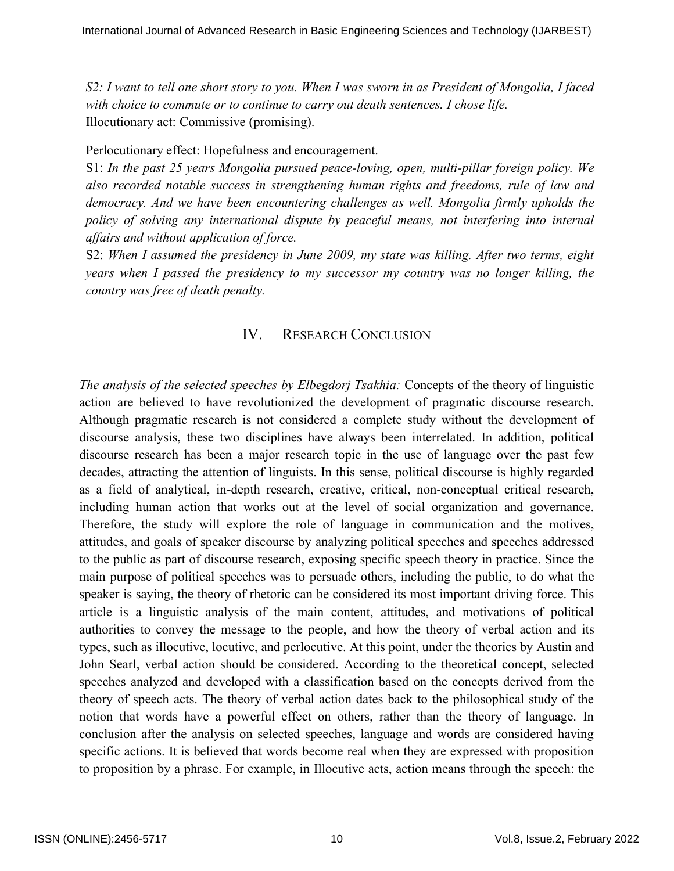*S2: I want to tell one short story to you. When I was sworn in as President of Mongolia, I faced with choice to commute or to continue to carry out death sentences. I chose life.*  Illocutionary act: Commissive (promising).

Perlocutionary effect: Hopefulness and encouragement.

S1: *In the past 25 years Mongolia pursued peace-loving, open, multi-pillar foreign policy. We also recorded notable success in strengthening human rights and freedoms, rule of law and democracy. And we have been encountering challenges as well. Mongolia firmly upholds the policy of solving any international dispute by peaceful means, not interfering into internal affairs and without application of force.*

S2: *When I assumed the presidency in June 2009, my state was killing. After two terms, eight years when I passed the presidency to my successor my country was no longer killing, the country was free of death penalty.* 

## IV. RESEARCH CONCLUSION

*The analysis of the selected speeches by Elbegdorj Tsakhia:* Concepts of the theory of linguistic action are believed to have revolutionized the development of pragmatic discourse research. Although pragmatic research is not considered a complete study without the development of discourse analysis, these two disciplines have always been interrelated. In addition, political discourse research has been a major research topic in the use of language over the past few decades, attracting the attention of linguists. In this sense, political discourse is highly regarded as a field of analytical, in-depth research, creative, critical, non-conceptual critical research, including human action that works out at the level of social organization and governance. Therefore, the study will explore the role of language in communication and the motives, attitudes, and goals of speaker discourse by analyzing political speeches and speeches addressed to the public as part of discourse research, exposing specific speech theory in practice. Since the main purpose of political speeches was to persuade others, including the public, to do what the speaker is saying, the theory of rhetoric can be considered its most important driving force. This article is a linguistic analysis of the main content, attitudes, and motivations of political authorities to convey the message to the people, and how the theory of verbal action and its types, such as illocutive, locutive, and perlocutive. At this point, under the theories by Austin and John Searl, verbal action should be considered. According to the theoretical concept, selected speeches analyzed and developed with a classification based on the concepts derived from the theory of speech acts. The theory of verbal action dates back to the philosophical study of the notion that words have a powerful effect on others, rather than the theory of language. In conclusion after the analysis on selected speeches, language and words are considered having specific actions. It is believed that words become real when they are expressed with proposition to proposition by a phrase. For example, in Illocutive acts, action means through the speech: the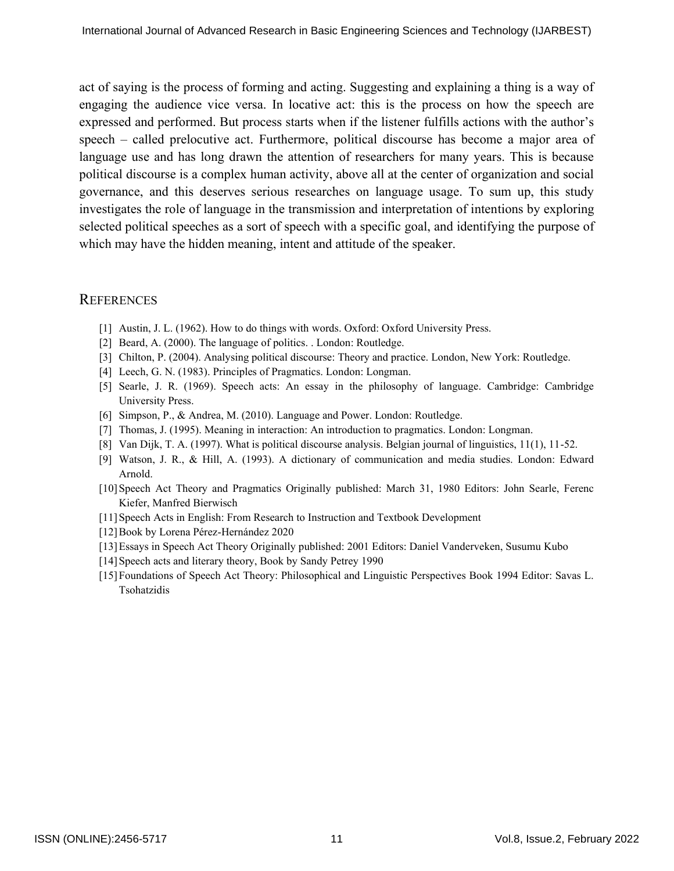act of saying is the process of forming and acting. Suggesting and explaining a thing is a way of engaging the audience vice versa. In locative act: this is the process on how the speech are expressed and performed. But process starts when if the listener fulfills actions with the author's speech – called prelocutive act. Furthermore, political discourse has become a major area of language use and has long drawn the attention of researchers for many years. This is because political discourse is a complex human activity, above all at the center of organization and social governance, and this deserves serious researches on language usage. To sum up, this study investigates the role of language in the transmission and interpretation of intentions by exploring selected political speeches as a sort of speech with a specific goal, and identifying the purpose of which may have the hidden meaning, intent and attitude of the speaker.

#### **REFERENCES**

- [1] Austin, J. L. (1962). How to do things with words. Oxford: Oxford University Press.
- [2] Beard, A. (2000). The language of politics. . London: Routledge.
- [3] Chilton, P. (2004). Analysing political discourse: Theory and practice. London, New York: Routledge.
- [4] Leech, G. N. (1983). Principles of Pragmatics. London: Longman.
- [5] Searle, J. R. (1969). Speech acts: An essay in the philosophy of language. Cambridge: Cambridge University Press.
- [6] Simpson, P., & Andrea, M. (2010). Language and Power. London: Routledge.
- [7] Thomas, J. (1995). Meaning in interaction: An introduction to pragmatics. London: Longman.
- [8] Van Dijk, T. A. (1997). What is political discourse analysis. Belgian journal of linguistics, 11(1), 11-52.
- [9] Watson, J. R., & Hill, A. (1993). A dictionary of communication and media studies. London: Edward Arnold.
- [10]Speech Act Theory and Pragmatics Originally published: March 31, 1980 Editors: John Searle, Ferenc Kiefer, Manfred Bierwisch
- [11]Speech Acts in English: From Research to Instruction and Textbook Development
- [12]Book by Lorena Pérez-Hernández 2020
- [13]Essays in Speech Act Theory Originally published: 2001 Editors: Daniel Vanderveken, Susumu Kubo
- [14] Speech acts and literary theory, Book by Sandy Petrey 1990
- [15]Foundations of Speech Act Theory: Philosophical and Linguistic Perspectives Book 1994 Editor: Savas L. Tsohatzidis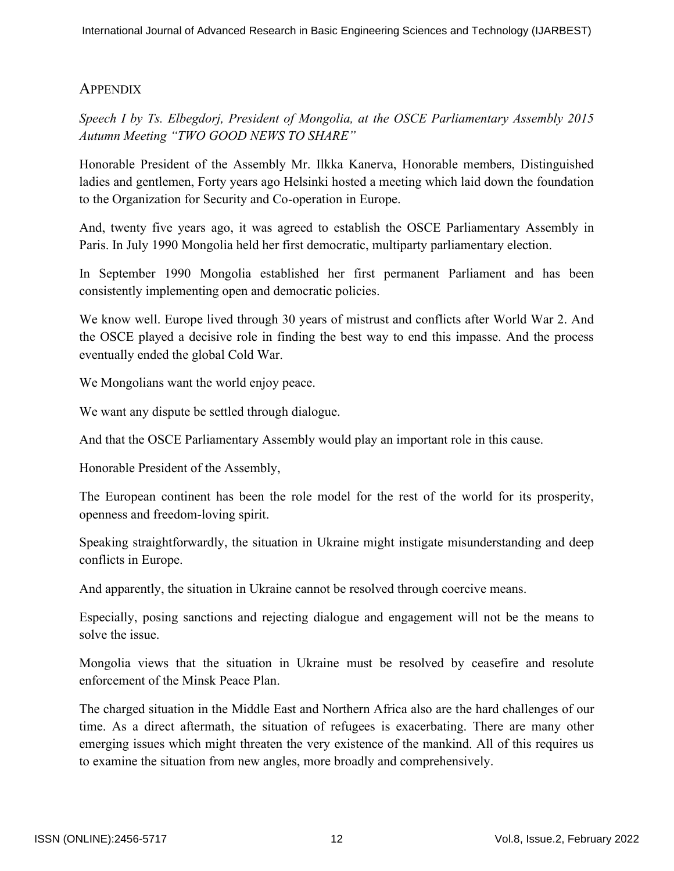## **APPENDIX**

*Speech I by Ts. Elbegdorj, President of Mongolia, at the OSCE Parliamentary Assembly 2015 Autumn Meeting "TWO GOOD NEWS TO SHARE"*

Honorable President of the Assembly Mr. Ilkka Kanerva, Honorable members, Distinguished ladies and gentlemen, Forty years ago Helsinki hosted a meeting which laid down the foundation to the Organization for Security and Co-operation in Europe.

And, twenty five years ago, it was agreed to establish the OSCE Parliamentary Assembly in Paris. In July 1990 Mongolia held her first democratic, multiparty parliamentary election.

In September 1990 Mongolia established her first permanent Parliament and has been consistently implementing open and democratic policies.

We know well. Europe lived through 30 years of mistrust and conflicts after World War 2. And the OSCE played a decisive role in finding the best way to end this impasse. And the process eventually ended the global Cold War.

We Mongolians want the world enjoy peace.

We want any dispute be settled through dialogue.

And that the OSCE Parliamentary Assembly would play an important role in this cause.

Honorable President of the Assembly,

The European continent has been the role model for the rest of the world for its prosperity, openness and freedom-loving spirit.

Speaking straightforwardly, the situation in Ukraine might instigate misunderstanding and deep conflicts in Europe.

And apparently, the situation in Ukraine cannot be resolved through coercive means.

Especially, posing sanctions and rejecting dialogue and engagement will not be the means to solve the issue.

Mongolia views that the situation in Ukraine must be resolved by ceasefire and resolute enforcement of the Minsk Peace Plan.

The charged situation in the Middle East and Northern Africa also are the hard challenges of our time. As a direct aftermath, the situation of refugees is exacerbating. There are many other emerging issues which might threaten the very existence of the mankind. All of this requires us to examine the situation from new angles, more broadly and comprehensively.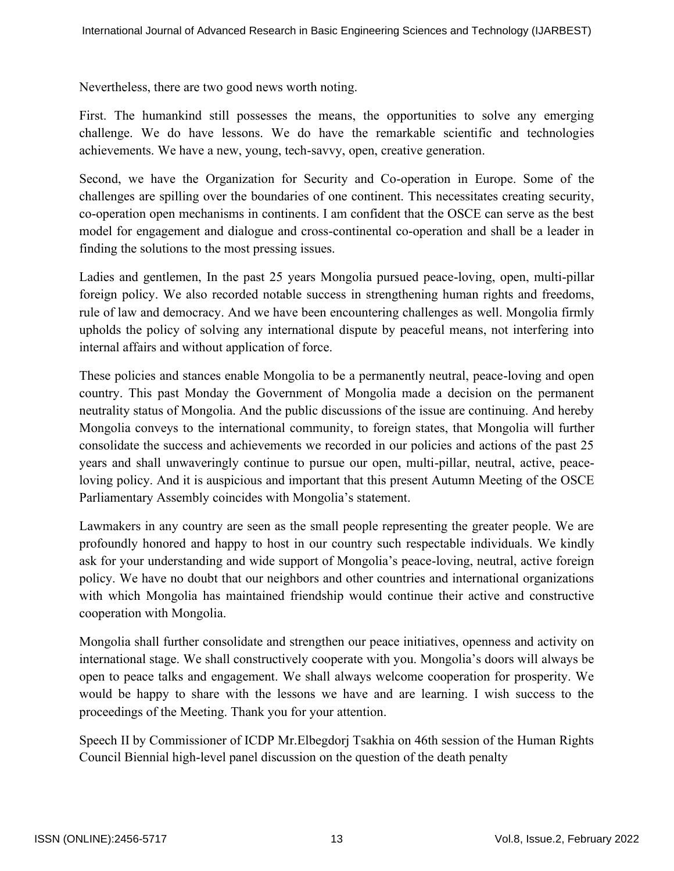Nevertheless, there are two good news worth noting.

First. The humankind still possesses the means, the opportunities to solve any emerging challenge. We do have lessons. We do have the remarkable scientific and technologies achievements. We have a new, young, tech-savvy, open, creative generation.

Second, we have the Organization for Security and Co-operation in Europe. Some of the challenges are spilling over the boundaries of one continent. This necessitates creating security, co-operation open mechanisms in continents. I am confident that the OSCE can serve as the best model for engagement and dialogue and cross-continental co-operation and shall be a leader in finding the solutions to the most pressing issues.

Ladies and gentlemen, In the past 25 years Mongolia pursued peace-loving, open, multi-pillar foreign policy. We also recorded notable success in strengthening human rights and freedoms, rule of law and democracy. And we have been encountering challenges as well. Mongolia firmly upholds the policy of solving any international dispute by peaceful means, not interfering into internal affairs and without application of force.

These policies and stances enable Mongolia to be a permanently neutral, peace-loving and open country. This past Monday the Government of Mongolia made a decision on the permanent neutrality status of Mongolia. And the public discussions of the issue are continuing. And hereby Mongolia conveys to the international community, to foreign states, that Mongolia will further consolidate the success and achievements we recorded in our policies and actions of the past 25 years and shall unwaveringly continue to pursue our open, multi-pillar, neutral, active, peaceloving policy. And it is auspicious and important that this present Autumn Meeting of the OSCE Parliamentary Assembly coincides with Mongolia's statement.

Lawmakers in any country are seen as the small people representing the greater people. We are profoundly honored and happy to host in our country such respectable individuals. We kindly ask for your understanding and wide support of Mongolia's peace-loving, neutral, active foreign policy. We have no doubt that our neighbors and other countries and international organizations with which Mongolia has maintained friendship would continue their active and constructive cooperation with Mongolia.

Mongolia shall further consolidate and strengthen our peace initiatives, openness and activity on international stage. We shall constructively cooperate with you. Mongolia's doors will always be open to peace talks and engagement. We shall always welcome cooperation for prosperity. We would be happy to share with the lessons we have and are learning. I wish success to the proceedings of the Meeting. Thank you for your attention.

Speech II by Commissioner of ICDP Mr.Elbegdorj Tsakhia on 46th session of the Human Rights Council Biennial high-level panel discussion on the question of the death penalty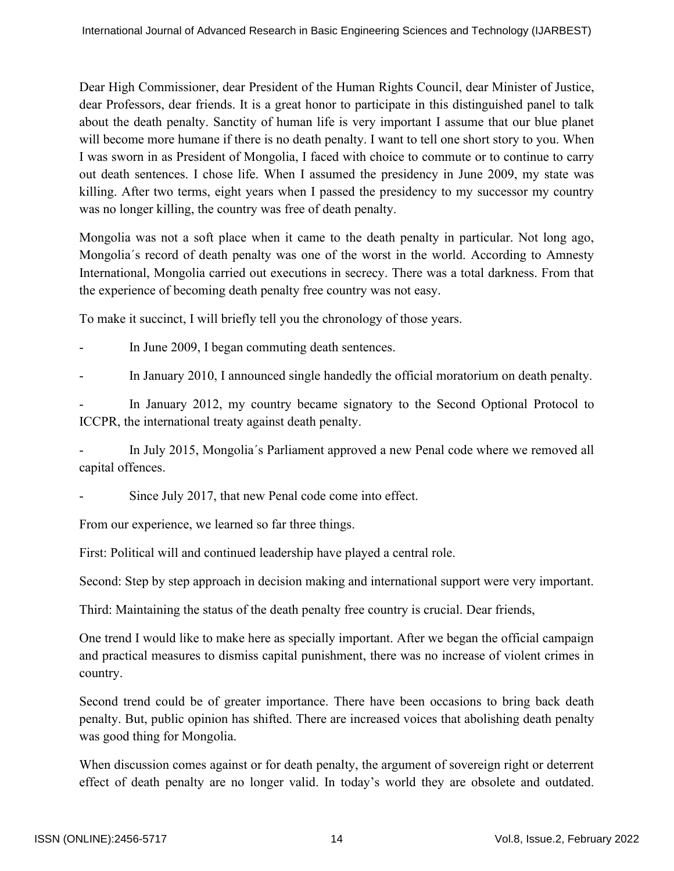Dear High Commissioner, dear President of the Human Rights Council, dear Minister of Justice, dear Professors, dear friends. It is a great honor to participate in this distinguished panel to talk about the death penalty. Sanctity of human life is very important I assume that our blue planet will become more humane if there is no death penalty. I want to tell one short story to you. When I was sworn in as President of Mongolia, I faced with choice to commute or to continue to carry out death sentences. I chose life. When I assumed the presidency in June 2009, my state was killing. After two terms, eight years when I passed the presidency to my successor my country was no longer killing, the country was free of death penalty.

Mongolia was not a soft place when it came to the death penalty in particular. Not long ago, Mongolia´s record of death penalty was one of the worst in the world. According to Amnesty International, Mongolia carried out executions in secrecy. There was a total darkness. From that the experience of becoming death penalty free country was not easy.

To make it succinct, I will briefly tell you the chronology of those years.

In June 2009, I began commuting death sentences.

In January 2010, I announced single handedly the official moratorium on death penalty.

In January 2012, my country became signatory to the Second Optional Protocol to ICCPR, the international treaty against death penalty.

In July 2015, Mongolia's Parliament approved a new Penal code where we removed all capital offences.

Since July 2017, that new Penal code come into effect.

From our experience, we learned so far three things.

First: Political will and continued leadership have played a central role.

Second: Step by step approach in decision making and international support were very important.

Third: Maintaining the status of the death penalty free country is crucial. Dear friends,

One trend I would like to make here as specially important. After we began the official campaign and practical measures to dismiss capital punishment, there was no increase of violent crimes in country.

Second trend could be of greater importance. There have been occasions to bring back death penalty. But, public opinion has shifted. There are increased voices that abolishing death penalty was good thing for Mongolia.

When discussion comes against or for death penalty, the argument of sovereign right or deterrent effect of death penalty are no longer valid. In today's world they are obsolete and outdated.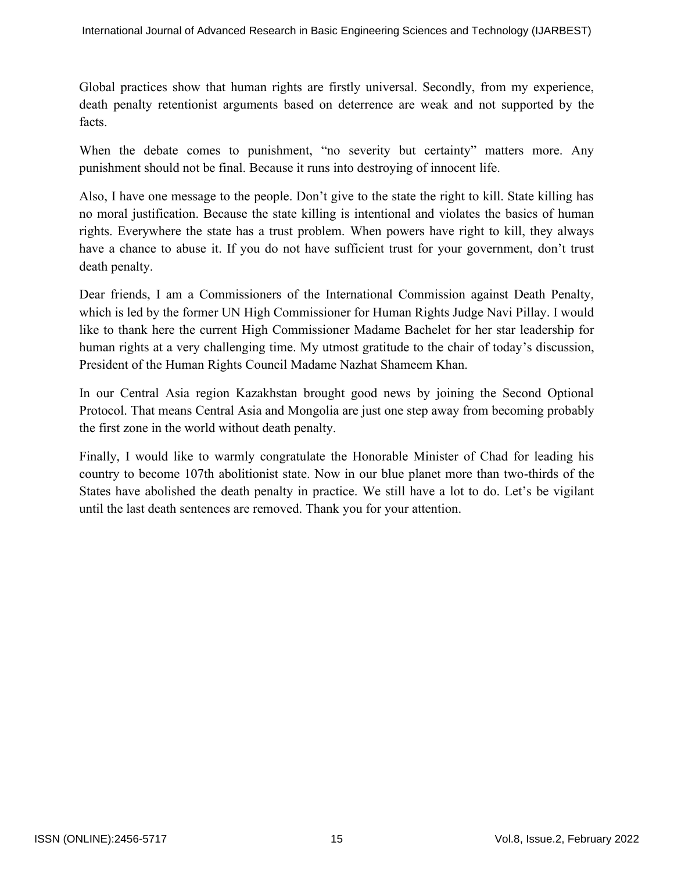Global practices show that human rights are firstly universal. Secondly, from my experience, death penalty retentionist arguments based on deterrence are weak and not supported by the facts.

When the debate comes to punishment, "no severity but certainty" matters more. Any punishment should not be final. Because it runs into destroying of innocent life.

Also, I have one message to the people. Don't give to the state the right to kill. State killing has no moral justification. Because the state killing is intentional and violates the basics of human rights. Everywhere the state has a trust problem. When powers have right to kill, they always have a chance to abuse it. If you do not have sufficient trust for your government, don't trust death penalty.

Dear friends, I am a Commissioners of the International Commission against Death Penalty, which is led by the former UN High Commissioner for Human Rights Judge Navi Pillay. I would like to thank here the current High Commissioner Madame Bachelet for her star leadership for human rights at a very challenging time. My utmost gratitude to the chair of today's discussion, President of the Human Rights Council Madame Nazhat Shameem Khan.

In our Central Asia region Kazakhstan brought good news by joining the Second Optional Protocol. That means Central Asia and Mongolia are just one step away from becoming probably the first zone in the world without death penalty.

Finally, I would like to warmly congratulate the Honorable Minister of Chad for leading his country to become 107th abolitionist state. Now in our blue planet more than two-thirds of the States have abolished the death penalty in practice. We still have a lot to do. Let's be vigilant until the last death sentences are removed. Thank you for your attention.